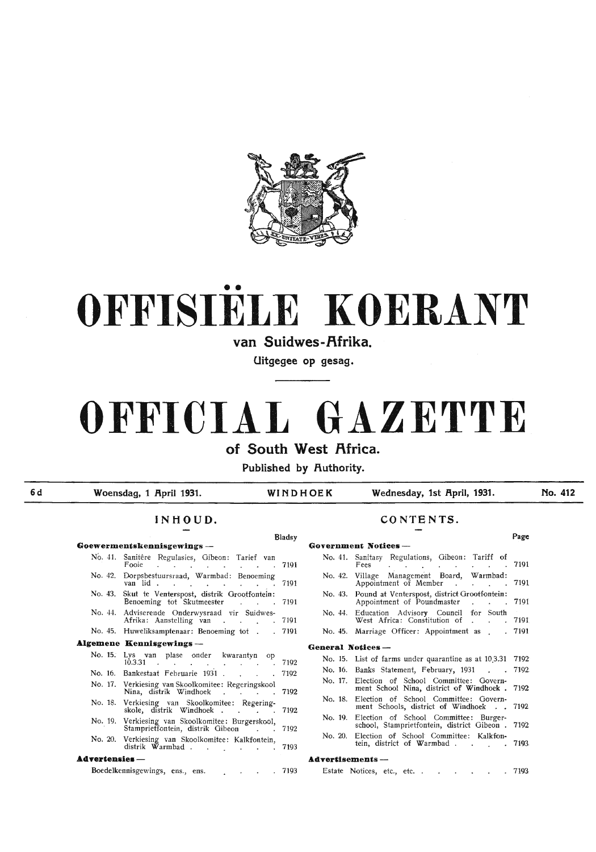

# •• **OFFISIELE KOERANT**

van Suidwes-Afrika.

**Uitgegee op gesag.** 

## **OFFICIAL GAZETTE**

of South West Africa.

Published by Authority.

**6d** 

| WINDHOEK<br>Woensdag, 1 April 1931.<br>INHOUD. |                                                                                                                                                                                                                                                                                                                                                                                                                                                                                                                                         |              |                   | Wednesday, 1st April, 1931.                                                                                                                                | No. 412 |
|------------------------------------------------|-----------------------------------------------------------------------------------------------------------------------------------------------------------------------------------------------------------------------------------------------------------------------------------------------------------------------------------------------------------------------------------------------------------------------------------------------------------------------------------------------------------------------------------------|--------------|-------------------|------------------------------------------------------------------------------------------------------------------------------------------------------------|---------|
|                                                |                                                                                                                                                                                                                                                                                                                                                                                                                                                                                                                                         | CONTENTS.    |                   |                                                                                                                                                            |         |
|                                                |                                                                                                                                                                                                                                                                                                                                                                                                                                                                                                                                         | Bladsy       |                   | Government Notices-                                                                                                                                        | Page    |
|                                                | Goewermentskennisgewings -                                                                                                                                                                                                                                                                                                                                                                                                                                                                                                              |              |                   |                                                                                                                                                            |         |
|                                                | No. 41. Sanitêre Regulasies, Gibeon: Tarief van<br>Fooie<br>and the state of the state<br>the company of the company of the                                                                                                                                                                                                                                                                                                                                                                                                             | 7191         |                   | No. 41. Sanitary Regulations, Gibeon: Tariff of<br>$\cdot$ 7191<br>Fees<br>the contract of the contract of the contract of the contract of the contract of |         |
|                                                | No. 42. Dorpsbestuursraad, Warmbad: Benoeming<br>van lid                                                                                                                                                                                                                                                                                                                                                                                                                                                                                | 7191         |                   | No. 42. Village Management Board, Warmbad:<br>Appointment of Member 7191                                                                                   |         |
|                                                | No. 43. Skut te Venterspost, distrik Grootfontein:<br>Benoeming tot Skutmeester                                                                                                                                                                                                                                                                                                                                                                                                                                                         | 7191         |                   | No. 43. Pound at Venterspost, district Grootfontein:<br>Appointment of Poundmaster 7191                                                                    |         |
|                                                | No. 44. Adviserende Onderwysraad vir Suidwes-<br>Afrika: Aanstelling van<br>$\mathcal{L}(\mathcal{L}(\mathcal{L}(\mathcal{L}(\mathcal{L}(\mathcal{L}(\mathcal{L}(\mathcal{L}(\mathcal{L}(\mathcal{L}(\mathcal{L}(\mathcal{L}(\mathcal{L}(\mathcal{L}(\mathcal{L}(\mathcal{L}(\mathcal{L}(\mathcal{L}(\mathcal{L}(\mathcal{L}(\mathcal{L}(\mathcal{L}(\mathcal{L}(\mathcal{L}(\mathcal{L}(\mathcal{L}(\mathcal{L}(\mathcal{L}(\mathcal{L}(\mathcal{L}(\mathcal{L}(\mathcal{L}(\mathcal{L}(\mathcal{L}(\mathcal{L}(\mathcal{L}(\mathcal{$ | 7191         |                   | No. 44. Education Advisory Council for South<br>West Africa: Constitution of 7191                                                                          |         |
|                                                | No. 45. Huweliksamptenaar: Benoeming tot                                                                                                                                                                                                                                                                                                                                                                                                                                                                                                | 7191         |                   | No. 45. Marriage Officer: Appointment as . 7191                                                                                                            |         |
|                                                | <b>Algemene Kennisgewings-</b>                                                                                                                                                                                                                                                                                                                                                                                                                                                                                                          |              | General Notices - |                                                                                                                                                            |         |
|                                                | No. 15. Lys van plase onder kwarantyn op                                                                                                                                                                                                                                                                                                                                                                                                                                                                                                |              |                   | No. 15. List of farms under quarantine as at 10.3.31 7192                                                                                                  |         |
|                                                |                                                                                                                                                                                                                                                                                                                                                                                                                                                                                                                                         |              |                   |                                                                                                                                                            |         |
|                                                | $10.3.31$                                                                                                                                                                                                                                                                                                                                                                                                                                                                                                                               | 7192         |                   | No. 16. Banks Statement, February, 1931 . 7192.                                                                                                            |         |
|                                                | No. 16. Bankestaat Februarie 1931.<br>No. 17. Verkiesing van Skoolkomitee: Regeringskool                                                                                                                                                                                                                                                                                                                                                                                                                                                | 7192         |                   | No. 17. Election of School Committee: Govern-<br>ment School Nina, district of Windhoek . 7192                                                             |         |
|                                                | Nina, distrik Windhoek<br>No. 18. Verkiesing van Skoolkomitee: Regering-                                                                                                                                                                                                                                                                                                                                                                                                                                                                | 7192         |                   | No. 18. Election of School Committee: Govern-<br>ment Schools, district of Windhoek 7192                                                                   |         |
|                                                | skole, distrik Windhoek<br>No. 19. Verkiesing van Skoolkomitee: Burgerskool,                                                                                                                                                                                                                                                                                                                                                                                                                                                            | 7192         |                   | No. 19. Election of School Committee: Burger-<br>school, Stamprietfontein, district Gibeon . 7192                                                          |         |
|                                                | Stamprietfontein, distrik Gibeon<br>No. 20. Verkiesing van Skoolkomitee: Kalkfontein,                                                                                                                                                                                                                                                                                                                                                                                                                                                   | 7192<br>7193 |                   | No. 20. Election of School Committee: Kalkfon-<br>tein, district of Warmbad. 7193                                                                          |         |
| <b>Advertensies</b> -                          | distrik Warmbad                                                                                                                                                                                                                                                                                                                                                                                                                                                                                                                         |              | Advertisements-   |                                                                                                                                                            |         |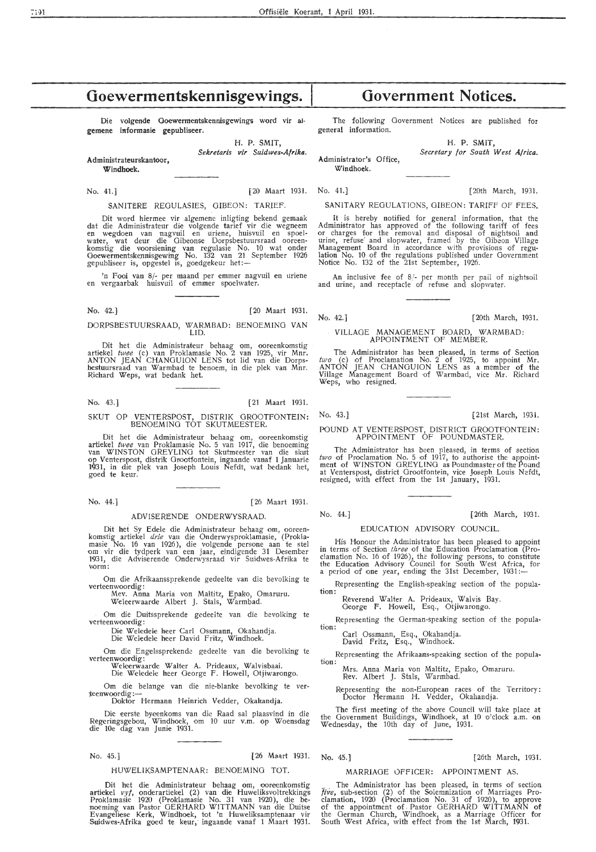## **Goewermentskennisgewings.**

Die volgende Goewermentskennisgewings word vir algemene informasie gepubliseer.

H. P. SMIT,

Sekretaris vir Suidwes-Afrika.

Administrateurskantoor, **Windhoek.** 

SANITERE REGULASIES, GIBEON: TARIEF.

Dit word hiermee vir algemene inligting bekend gemaak dat die Administrateur die volgende tarief vir die wegneem<br>en wegdoen van nagvuil en uriene, huisvuil en spoel-<br>water, wat deur die Gibeonse Dorpsbestuursraad ooreen-<br>komstig die voorsiening van regulasie No. 10 wat onder Goewermentskennisgewing No. 132 van 21 September 1926<br>gepubliseer is, opgestel is, goedgekeur het:—

'n Fooi van 8/- per maand per emmer nagvuil en uriene en vergaarbak huisvuil of emmer spoelwater.

No. 42.] [20 Maart 1931.

DORPSBESTUURSRAAD, WARMBAD: BENOEMING VAN LID.

Dit het die Administrateur behaag om, ooreenkomstig artiekel *twee* (c) van Proklamasie No. 2 van 1925, vir Mnr. ANTON JEAN CHANGUION LENS tot lid van die Dorpsbestuursraad van Warmbad te benoem, in die plek van Mnr. Richard Weps, wat bedank het.

No. 43.] [21 Maart 1931.

#### SKUT OP VENTERSPOST, DISTRIK GROOTFONTEIN: BENOEMING TOT SKUTMEESTER.

Dit het die Administrateur behaag om, ooreenkomstig artiekel *twee* van Proklamasie No. 5 van 1917, die benoeming<br>van WINSTON GREYLING tot Skutmeester van die skut op Venterspost, distrik Grootfontein, ingaande vanaf 1 Januarie 1931, in die plek van Joseph Louis Nefdt, wat bedank het, goed te keur.

No. 44.] [26 Maart 1931.

## ADVISERENDE ONDERWYSRAAD.

Dit het Sy Edele die Administrateur behaag om, ooreen- komstig artiekel *dr.ie* van die Onderwysproklamasie, (Proklamasie No. 16 van 1926 ), die volgende persone aan te stel om vir die tydperk van een jaar, eindigende 31 Desember 1931, die Adviserende Onderwysraad vir Suidwes-Afrika te<br>vorm:

Om die Afrikaanssprekende gedeelte van die bevolking te verteenwoordig:<br>Mev. Anna Maria von Maltitz, Epako, Omaruru.

Weleerwaarde Albert J. Stals, Warmbad.

Om die Duitssprekende gedeelte van die bevolking te verteenwoordig:

Die Weledele heer Carl Ossmann, Okahandja.<br>Die Weledele heer David Fritz, Windhoek.

Om die Engelssprekende gedeelte van die bevolking te verteenwoordig:

Weleerwaarde Walter A. Prideaux, Walvisbaai. Die Weledele heer George F. Howell, Otjiwarongo.

Om die belange van die nie-blanke bevolking te ver-<br> \*eenwoordig :- Doktor Hermann Heinrich Vedder, Okahandja.

Die eerste byeenkoms van die Raad sal plaasvind in die Regeringsgebou, Windhoek, om 10 uur v.m. op Woensdag die lOe dag van Junie 1931.

No. 45.) [26 Maart 1931.

#### HUWELIKSAMPTENAAR: BENOEMING TOT.

Dit het die Administrateur behaag om, ooreenkomstig artiekel vyf, onderartiekel (2) van die Huweliksvoltrekkings Proklamasie 1920 (Pmklamasie No. 31 van 1920), die benoeming van Pastor GERHARD **WITTMANN** van die Duitse Evangeliese Kerk, Windhoek, tot 'n Huweliksamptenaar vir Suidwes-Afrika g;oed te keur, ingaande vanaf 1 Maart 1931.

**Government Notices.** 

The following Government Notices are published for general information.

> H. P. SMIT, *Secretary .for South West Africa.*

Administrator's Office, Windhoek.

Offisiële Koerant, 1 April 1931.

No. 41.] [20 Maart 1931. No. 41.] [20th March, 1931.

SANITARY REGULATIONS, GIBEON: TARIFF OF FEES.

It is hereby notified for general information, that the Administrator has approved of the following tariff of fees or charges for the removal and disposal of nightsoil and urine, refuse and slopwater, framed by the Gibeon Village Management Board in accordance with provisions of regulation No. 10 of the regulations published under Government Notice No. 132 of the 21st September, 1926.

An inclusive fee of 8/- per month per pail of nightsoil and urine, and receptacle of refuse and slopwater.

No. 42.] [20th March, 1931.

#### VILLAGE MANAGEMENT BOARD, WARMBAD: APPOINTMENT OF MEMBER.

The Administrator has been pleased, in terms of Section two (c) of Proclamation No. 2 of 1925, to appoint Mr. ANTON JEAN CHANGUION LENS as a member of the Village Management Board ·of Warmbad, vice Mr. Richard Weps, who resigned.

No. 43.] [21st March, 1931.

POUND AT VENTERSPOST, DISTRICT GROOTFONTEIN: APPOINTMENT OF POUNDMASTER.

The Administrator has been pleased, in terms of section two of Proclamation No. 5 of 1917, to authorise the appointment of WINSTON GREYLING as Pouhdmaster of the Pound at Venterspost, district Grootfontein, vice Joseph Louis Nefdt, resigned, with effect from the- 1st January, 1931.

No. 44.] [26th March, 1931.

#### EDUCATION ADVISORY COUNCIL.

His Honour the Administrator has been pleased to appoint in terms of Section *three* of the Education Proclamation (Proclamation No. 16 of 1926), the following persons, to constitute the Education Advisory Council for South West Africa, for a period of one year, ending the 31st December, 1931:-

Representing the English-speaking section of the population:

Reverend Walter A. Prideaux, Walvis Bay.

George F. Howell, Esq., Otjiwarongo.

Representing the German-speaking section of the population:

Carl Ossmann, Esq., Okahandja. David Fritz, Esq., Windhoek.

Representing the Afrikaans-speaking section of the population:

Mrs. Anna Maria von Maltitz, Epako, Omaruru. Rev. Albert J. Stals, Warmbad.

Representing the non-European races of the Territory: Doctor Hermann H. Vedder, Okahandja.

The first meeting of the above Council will take place at the Government Buildings, Windhoek, at 10 o'clock a.m. on Wednesday, the 10th day of June, 1931.

No. 45.) [26th March, 1931.

#### MARRIAGE OFFICER: APPOINTMENT AS;

The Administrator has been pleased, in terms of section five, sub-section  $(2)$  of the Solemnization of Marriages Proclamation, 1920 (Proclamation No. 31 of 1920), to approve of the appointment of. Pastor GERHARD WITTMANN of the German Church, Windhoek, as a Marriage Officer for South West Africa, with effect from the 1st March, 1931.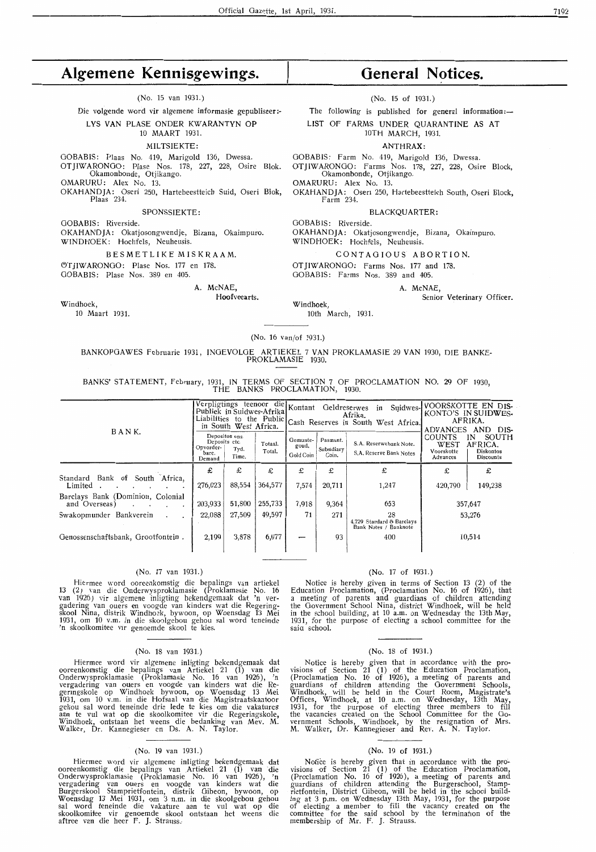## **Algemene Kennisgewings.**

(No. 15 van 1931.)

Die volgende word vir algemene informasie gepubliseer :-

### LYS VAN PLASE ONDER KWARANTYN OP

10 MAART 1931.

#### MILTSIEKTE:

GOBABIS: Plaas No. 419, Marigold 136, Dwessa. OTJIWARONGO: Plase Nos. 178, 227, 228, Osire Blok. Okamonbonde, Otjikango.

OMARURU: Alex No. 13.

OKA HAND JA: Oseri 250, Hartebeestteich Suid, Oseri Blok, Plaas 234.

SPONSSIEKTE:

GOBABIS: Riverside.

OKAHANDJA: Okatjosongwendje, Bizana, Okaimpuro. WINDHOEK: Mochfels, Neuheusis.

#### B ESME T L I KE M I S K RA **AM.**

OT IIWARONGO: Plase Nos. 177 en 178.

OOBABIS: Plase Nos. 389 en 405.

A. McNAE,

Hoofveearts.

Windhoek,

10 Maart 1931.

## **General Notices.**

(No. 15 of 1931.)

The following is published for general information:-

LIST OF FARMS UNDER QUARANTINE AS AT 10TH MARCH, 1931.

ANTHRAX:

OOBABIS: Farm No. 419, Marigold 136, Dwessa.

OTJIWARONOO: Farms Nos. 178, 227, 228, Osire Block, Okamonbonde, Otjikango.

OMARURU: Alex No. 13.

OKAHANDJA: Osen 250, Hartebeestteich South, Oseri Block, Farm 234.

BLACKQUARTER:

OOBABIS: Riverside.

OKAHANDJA: Okatjosongwendje, Bizana, Okaimpuro. WINDHOEK: Mochfe1s, Neuheusis.

CONT AO IO US ABORTION.

OT IIWARONGO: Farms Nos. 177 and 178. GOBABIS: Farms Nos. 389 and 405.

A. McNAE,

Senior Veterinary Officer.

Windhoek, 10th March, 1931.

#### (No. 16 van/of 1931.)

#### BANKOPOAWES Februarie 1931, INOEVOLOE ARTIEKEL 7 VAN PROKLAMASIE 29 VAN 1930, DIE BANKE-PROKLAMASIE 1930.

BANKS' STATEMENT, February, 1931, IN TERMS OF SECTION 7 OF PROCLAMATION NO. 29 OF 1930, THE BANKS PROCLAMATION, 1930.

|                                                               | Verpligtings teenoor die Kontant<br>Publiek in Suidwes-Afrika<br>Liabilities to the Public Cash Reserves in South West Africa. |                                 |                   |                                | Geldreserwes                    | in<br>Afrika.                                            | Suidwes-VOORSKOTTE EN DIS-<br>KONTO'S IN SUIDWES-<br>AFRIKA.<br><b>ADVANCES</b><br>DIS-<br>AND. |                                                                |  |
|---------------------------------------------------------------|--------------------------------------------------------------------------------------------------------------------------------|---------------------------------|-------------------|--------------------------------|---------------------------------|----------------------------------------------------------|-------------------------------------------------------------------------------------------------|----------------------------------------------------------------|--|
| BANK.                                                         | Deposits etc.<br>Opvorder-<br>bare.<br>Demand                                                                                  | Depositos ens.<br>Tyd.<br>Time. | Totaal.<br>Total. | Gemunte-<br>goud,<br>Gold Coin | Pasmunt.<br>Subsidiary<br>Coin. | S.A. Reserwebank Note.<br>S.A. Reserve Bank Notes        | <b>COUNTS</b><br>WEST<br>Voorskotte<br>Advances                                                 | SOUTH<br>ΙN<br>AFRICA.<br><b>Diskontos</b><br><b>Discounts</b> |  |
| Standard Bank of South Africa,<br>Limited                     | £<br>276,023                                                                                                                   | £<br>88,554                     | £<br>364,577      | £<br>7,574                     | £<br>20,711                     | £<br>1,247                                               | £<br>420,790                                                                                    | £<br>149,238                                                   |  |
| Barclays Bank (Dominion, Colonial<br>and Overseas)<br>$\cdot$ | 203,933                                                                                                                        | 51,800                          | 255,733           | 7,918                          | 9,364                           | 653                                                      |                                                                                                 | 357,647                                                        |  |
| Swakopmunder Bankverein                                       | 22,088                                                                                                                         | 27,509                          | 49,597            | 71                             | 271                             | 28<br>4,729 Standard & Barclays<br>Bank Notes / Banknote |                                                                                                 | 53,276                                                         |  |
| Genossenschaftsbank, Grootfontein.                            | 2,199                                                                                                                          | 3.878                           | 6,077             |                                | 93                              | 400                                                      |                                                                                                 | 10,514                                                         |  |

#### (No. 17 van 1931.)

Hiermee word •ooreenkomstig die bepalings van artiekel 13 (2) van die Onderwysproklamasie (Proklamasie No. 16 van 1926) vir algemene inligting bekendgemaak dat 'n vergadering van ouers en voogde van kinders wat die Regeringskool Nina, distrik Windhoek, bywoon, op Woensdag 13 Mei 1931, om 10 v.m. in die skoolgebou gehou sal word teneinde 'n skoolkomitee vir genoemde skool te kies.

#### (No. 18 van 1931.)

Hiermee word vir algemene inligting bekendgemaak dat ooreenkomstig die bepalings van Artiekel 21 (1) van die Onderwysproklamasie (Proklamasie No. 16 van 1926 ), 'n vergadering van ouers en voogde van kinders wat die Regermgskole op Windhoek bywoon, op Woensdag 13 Mei *1931,* om 10 v.m. in die Hofsaal van die Magistraatskantoor gehou sal word teneinde drie lede te kies om die vakatures<br>aan te vul wat op die skoolkomitee vir die Regeringskole, Windhoek, ontstaan het weens die bedanking van Mev. **M .**  Walker, Dr. Kannegieser en Os. A. N. Taylor.

#### (No. 19 van 1931.)

Hiermee word vir algemene inligting bekendgemaak dat ooreenkomstig die bepalings van .Artiekel **21 (1)** van 'die Onderwysproklamasie (Proklamasie No. 16 van 1926 ), 'n vergadering van ouers en v,oogde van kinders wat die Burgerskool Stamprietfontein, distrik Oibeon, bywoon, op Woensdag 13 Mei 1931, om 3 n.m. in die skoolgebou gehou sal word teneinde die vakature aan te vu! wat op die skoolkomitee vir genoemde skoal ontstaan het weens die aftree van die heer F. J. Strauss.

#### (No. 17 of 1931.)

Notice is hereby given in terms of Section 13 (2) of the Education Proclamation, (Proclamation No. 16 of 1926), that a meeting of parents and guardians of children attending the Government School Nina, district Windhoek, will be held in the school building, at 10 a.m. on Wednesday the 13th May,<br>1931, for the purpose of electing a school committee for the saia school.

#### (No. 18 of 1931.)

Notice is hereby given that in accordance with the pro-<br>visions of Section 21 (1) of the Education Proclamation, (Proclamation No. 16 of 1926), a meeting of parents and guardians of children attending the Government Schools, Windhoek, will be held in the Court Room, Magistrate's Offices, Windhoek, at 10 a.m. on Wednesday, 13th May, 1931, for the purpose of electing three members to fill the vacancies created on the School Committee for the Go-<br>vernment Schools, Windhoek, by the resignation of Mrs. **M.** Walker, Dr. Kannegieser and Rev. **A. N.** Taylor.

#### (No. 19 of 1931.)

Notice is hereby given that in accordance with the pro-<br>visions of Section 21 (1) of the Education Proclamation, (Proclamation No. 16 of 1926 ), a meeting of parents and guardians of children attending the Burgerschool, Stamprietfontein, District Gibeon, will be held in the school building at 3 p.m. on Wednesday 13th May, 1931, for the purpose of electing a member to fill the vacancy created on the committee for the said school by the termination of the membership of Mr. F. J. Strauss.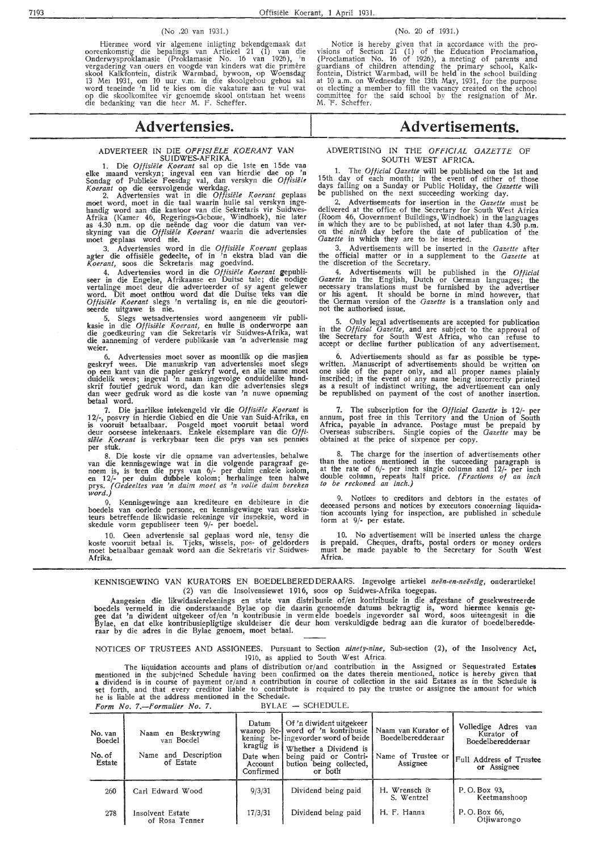#### (No .20 van 1931.)

Hiermee word vir algemene inligting bekendgemaak dat ooreenkomstig die bepalings van Artiekel 21 (1) van die Onderwysproklamasie (Proklamasie No. 16 van 1926), 'n<br>vergadering van ouers en voogde van kinders wat die primêre skool Kalkfontein, distrik Warmbad, bywoon, op Woensdag 13 Mei 1931, om 10 uur v.m. in die skoolgebou gehou sal word teneinde 'n lid te kies om die vakature aan te vul wat op die sk,oo1komitee vir genoemde skoal ontstaan het weens die bedanking van die heer M. F. Scheffer.

#### (No. 20 of 1931.)

Notice is hereby given that in accordance with the provisions of Section 21 (1) of the Education Proclamation, (Proclamation No. 16 of 1926), a meeting of parents and guardians of children attending the primary school, Kalkfontein, District Warmbad, will be held in the school building at 10 a.m. on Wednesday the 13th May, 1931, for the purpose 01 electing a member to fill the vacancy created on the school committee for the said school by the resignation of Mr. M. F. Scheffer.

## **Advertensies.**

#### ADVERTEER IN DIE *OFF/SI ELE KOERANT* VAN SUIDWES-AFRIKA.

1. rne *Otfisieu K.oerant* sal op die lste en 15de vaa elke maand verskyn; ingeval een van hierdie dae op 'n Sondag of Publieke Feesdag val, dan verskyn die *Offisielt!*  Koerant op die eersvolgende werkdag.

2. Advertensies wat in die *Offisiele Koerant* geplaas moet word, moet in die taal waarin hulle sal verskyn ingehandig word aan die kantoor van die Sekretaris vir Suidwes-Afrika (Kamer 46, Regerings-Geboue, Windhoek), nie later<br>as 4.30 n.m. op die neënde dag voor die datum van ver-<br>skyning van die *Offisiële Koerant* waarin die advertensies moet geplaas word nie.

3. Advertensies word in die *Oftisiiile /(oerant* geplaas agter die offisiële gedeelte, of in 'n ekstra blad van die Koerant, soos die Sekretaris mag goedvind.

4. Advertensies word in die *Offisiële Koerant gepubliseer* in die Engelse, Afrikaanse en Duitse tale; die nodige vertalinge moet deur die adverteerder of sy agent gelewer word. Dit moet onth'ou word dat die Duitse teks van die Offisiële Koerant slegs 'n vertaling is, en nie die geoutoriseerde uitgawe is nie. . ·

5. Slegs wetsadvertensies word aangeneem vir publi-<br>kasie in die *Offisiële Koerant,* en hulle is onderworpe aan<br>die goedkeuring van die Sekretaris vir Suidwes-Afrika, wat die aanneming of verdere publikasie van 'n advertensie mag **weier.** 

6. Advertensies moet sover as moontlik op die masjien geskryf wees. Die manuskrip van advertensies moet slegs<br>op een kant van die papier geskryf word, en alle name moet duidelik wees; ingeval 'n naam ingevolge onduidelike handskrif foutief gedruk word, dan kan die advertensies slegs<br>dan weer gedruk word as die koste van 'n nuwe opneming betaal word.

7. Die jaarlikse intekengeld vir die Offisiële Koerant is 12/-, posvry in hierdie Gebied en die Unie van Suid-Afrika, en<br>is vooruit betaalbaar. Posgeld moet vooruit betaal word deur oorseese intekenaars. Enkele eksemplare van die *Offisiele K.oerant* is verkrybaar teen die prys van ses pennies per stuk.

8. Die koste vir die opname van advertensies, behalwe van die kennisgewinge wat in die volgende paragraaf ge- noem is, is teen die prys van 6/- per duim enkele kolom, en 12/- per duim dubbele kolom; herhalinge teen halwe prys. *(Gedeeltes van 'n duim moet as 'n volle duim bereken word.}* 

9. Kennisgewinge aan krediteure en debiteure in die boedels van oorlede persone, en kennisgewinge van eksekuteurs betreffende likwidasie rekeninge vir inspeksie, word in skedule vorm gepubliseer teen 9/- per boedel.

10. Geen advertensie sal geplaas word nie, tensy **die**  koste vooruit betaal is. Tjeks, wissels, pos- of geldorders moet betaalbaar gemaak word aan die Sekretaris vir Suidwes-**Afrika.** 

## **Advertisements.**

#### ADVERTISING IN THE OFFICIAL GAZETTE OF SOUTH WEST AFRICA.

1. The *Official Gazette* will be published on the 1st and 15th day of each month; in the event of either of those days falling on a Sunday or Public Holiday, the *Gazette* will be published on the next succeeding working day.

2. Advertisements for insertion in the *Gazette* must be delivered at the office of the Secretary for South West Africa (Room 46, Government Buildings, Windhoek) in the languages in which they are to be published, at not later than 4.30 p.m. on the *ninth* day before the date of publication of the *Gazette* in which they are to be inserted.

3. Advertisements will be inserted in the *Gazette* after the official matter or in a supplement to the *Gazette* at the discretion of the Secretary.

4. Advertisements will be published in the *Official Gazette* in the English, Dutch or German languages; the neoessary translations must be furnished by the advertiser or his agent. It should be borne in mind however, that the German version of the *Gazette* is a translation only and not the authorised issue.

5. Only legal advertisements are accepted for publication in the *Official Gazette,* and are subject to the approval of the Secretary for South West Africa, who can refuse to accept or decline further publication of any advertisement.

6. Advertisements should as far as possible be typewritten. Manuscript of advertisements should be written on<br>one side of the paper only, and all proper names plainly inscribed; in the event of any name being incorrectly printed as a result of indistinct writing, the advertisement can only be republished on payment of the cost of another insertion.

7. The subscription for the *Official Gazette* is 12/- per annum, post free in this Territory and the Union of South Africa, payable in advance. Postage must be prepaid by Overseas subscribers. Single copies of the *Gazette* may be obtained at the price of sixpence per copy.

8. The charge for the insertion of advertisements other than the notices mentioned in the succeeding paragraph is at the rate of 6/- per inch single column and 12/- per inch double column, repeats half price. *( Fractions of an inch to be reckoned an inch.)* 

9. Notices to creditors and debtors in the estates of deoeased persons and notices by executors concerning liquidation accounts lying for inspection, are published in schedule form at 9/- per estate.

10. No advertisement will be inserted unless the charge is prepaid. Cheques, drafts, postal orders or money orders must be made payable to the Secretary for South West Africa.

KENNISGEWING VAN KURATORS EN BOEDELBERED DERAARS. Ingevolge artiekel *neën-en-neëntig*, onderartiekel (2) van die Insolvensiewet 1916, soos op Suidwes-Afrika toegepas.

Aangesien die likwidasierekenings en state van distribusie of/en kontribusie in die afgestane of gesekwestreerde boedels vermeld in die onderstaande Bylae op die daarin genoemde datums bekragtig is, word hiermee kennis gegee dat 'n diwident uitgekeer of/en 'n kontribusie in verm elde boedels ingevorder sal word, soos uiteengesit in die Bylae, en dat elke kontribusiepligtige skuldeiser die deur horn verskuldigde bedrag aan die kurator of boedelberedderaar by die adres in die Bylae genoem, moet betaal.

NOTICES OF TRUSTEES AND ASSIGNEES. Pursuant to Section *ninety-nine,* Sub-section (2), of the Insolvency Act, 1910, as applied to South West Africa.

The liquidation accounts and plans of distribution or/ and contribution in the Assigned or Sequestrated Estates mentioned in the subjeined Schedule having been confirmed on the dates therein mentioned, notice is hereby given that<br>a dividend is in course of payment or/and a contribution in course of collection in the said Estates as he is liable at the address mentioned in the Schedule. *Form No. 7.-Formulier No. 7.* BYLAE - SCHEDULE.

No. van **Naam en Beskrywing** Datum Of 'n diwident uitgekeer Naam van Kurator of Volledige Adres van **Boedel** waar an Kurator of Kurator of Kurator of Kurator of Kurator of Kurator of Kurator of Kurator of Kurator of Boedel No. van Naam en Beskrywing<br>
Boedel van Boedel<br>
No. of Name and Description<br>
State of Estate Account bution being collected.<br>
Assignee Name and Description Date when being paid or Contri-<br>
Estate of Estate of Estate of Estate Assignee Confirmed bution being collected, Assignee or *Assignee* or *Assignee* 260 Carl Edward Wood 9/3/31 Dividend being paid H. Wrensch & P. 0. Box *93,*  Keetmanshoop 278 Insolvent Estate 17/3/31 Dividend being paid H. F. Hanna P.O. Box 66,<br>
of Rosa Tenner 17/3/31 Dividend being paid H. F. Hanna P.O. Box 66, of Rosa Tenner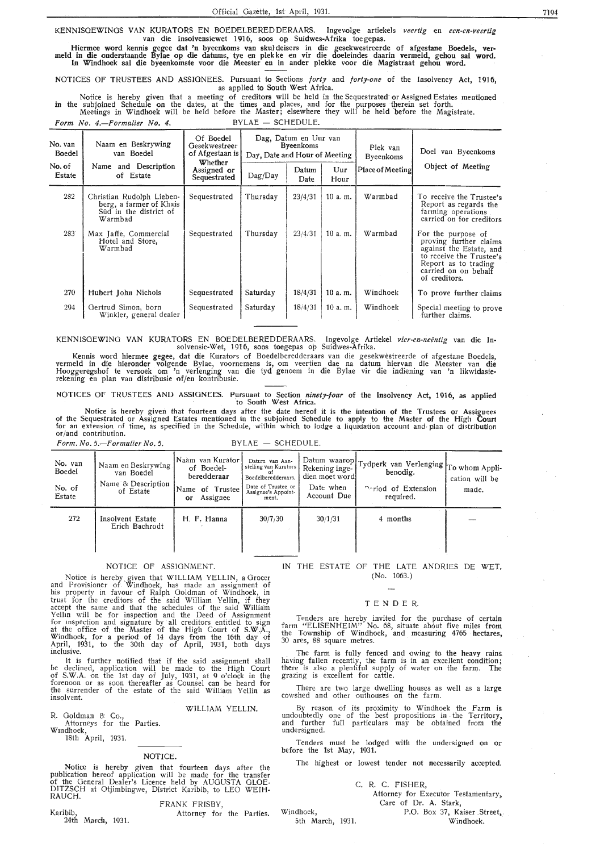KENNISGEWINGS VAN KURATORS EN BOEDELBEREDDERAARS. Ingevolge artiekels *veertig* en *een-en-veertig*  van die Insolvensiewet 1916, soos op Suidwes-Afrika toe gepas.

Hiermee word kennis gegee dat 'n byeenkoms van skuldeisers in die gesekwestreerde of afgestane Boedels, ver- meld in die onderstaande Bylae op die datums, tye en plekke en vir die doeleindes daarin vermeld, gehou sal word. In Windhoek sal die byeenkomste voor die Meester en in ander plekke voor die Magistraat gehou word.

NOTICES OF TRUSTEES AND ASSIGNEES. Pursuant to Sections *forty* and *forty-one* of the Insolvency Act, 1916, as applied to South West Africa.

Notice is hereby given that a meeting of creditors will be held in the Sequestrated or Assigned Estates mentioned in the subjoined Schedule on the dates, at *the* times and places, and for the purposes therein set forth. Meetings in Wi**ndhoek** will be held before the Master; elsewhere they will be held **b**efore the Magistrate. Form No. 4.-Formulier No. 4. BYLAE - SCHEDULE.

No. van Naam en Beskrywing<br>Boedel van Boedel Of Boedel Dag, Datum en Uur van Plek van Doel van Boedel des Byeenkoms van Boedel of Afgestaan is Day, Date and Hour of Meeting Byeenkoms Doel van Byeenkoms van Boedel van Byeenkoms Doel van Byeenkoms Doel van Byeenkoms va No. of **Name and Description** Whether<br> **No. of Estate** Sequestrated I o. of Name and Description Assigned or Dag/Day Datum Uur Place of Meeting Object of Meeting of Estate of Sequestrated Dag/Day Date Hour Date | Hour 282 Christian Rudolph Lieben- Sequestrated Thursday 23/4/31 10 a.m. Warmbad To receive the Trustee's berg, a farmer of Khais Sequestrated Thursday 23/4/31 10 a.m. Warmbad To receive the Trustee's berg, a farmer of Khais **Report as regards the Second Community Community** Report as regards the Süd in the district of  $\begin{vmatrix} 1 & 1 \end{vmatrix}$  farming operations Sud in the district of the set of the set of the set of the set of the set of the set of the set of the set of the set of the set of the set of the set of the set of the set of the set of the set of the set of the set of t 283 | Max Jaffe, Commercial | Sequestrated | Thursday | 23/4/31 | 10 a. m. | Warmbad | For the purpose of Hotel and Store, **proving further claims** Warmbad and the Estate, and the Estate, and the Estate, and the Estate, and the Estate, and the Estate, and the Estate, and the Estate, and the Estate, and the Estate, and the Estate, and the Estate, and the Estate, and th to receive the Trustee's Report as to trading carried on on behalf of creditors. 270 Hubert John Nichols Sequestrated Saturday 18/4/31 10 a.m. Windhoek To prove further claims 294 Gertrud Simon, born Sequestrated Saturday 18/4/31 10 a.m. Windhoek Special meeting to prove Winkler, general dealer

KENNISGEWING VAN KURATORS EN BOEDELBEREDDERAARS. Ingevolge Artiekel *vier-en-neentig* van die Insolvensie-Wet, 1916, soos toegepas op Suidwes-Afrika.

Kennis word hiermee gegee, dat die Kurators of Boedelberedderaars van die gesekwestreerde of afgestane Boedels, vermeld in die hieronder volgende Bylae, voornemens is, om veertien dae na datum hiervan die Meester van die Hooggeregshof te versoek om 'n verlenging van die tyd genoem in die Bylae vir die indiening van 'n likwidasierekening en plan van distribusie of/en kontribusie.

NOTICES OF TRUSTEES ANO ASSIGNEES. Pursuant to Section *ninety-four* of the Insolvency Act, 1916 as applied

to South West Africa. ' Notice is hereby given that fourteen days after the date hereof it is the intention of the Trustees or Assignees of the Sequestrated or Assigned Estates mentioned in the subjoined Schedule to apply to the Ma~ter of the Hig!t **Court**  for an extension of time, as specified in the Schedule, within which to lodge a liquidation account and plan of distribution<br>or/and contribution.

*Form. No. 5.-Formulier No. 5.* BYLAE - SCHEDULE.

| No. van<br>Boedel<br>No. of<br>Estate | Naam en Beskrywing.<br>van Boedel<br>Name & Description<br>of Estate | Naam van Kurator<br>of Boedel-<br>beredderaar<br>Name of Trustee<br>Assignee<br>or | Datum van Aan-<br>stelling van Kurators<br>Boedelberedderaars.<br>Date of Trustee or<br>Assignee's Appoint-<br>ment. | dien moet word<br>Date when<br>Account Due | Datum waarop  Tydperk van Verlenging   To whom Appli-<br>benodig.<br><b>Portiod of Extension</b><br>required. | cation will be<br>made. |
|---------------------------------------|----------------------------------------------------------------------|------------------------------------------------------------------------------------|----------------------------------------------------------------------------------------------------------------------|--------------------------------------------|---------------------------------------------------------------------------------------------------------------|-------------------------|
| 272                                   | Insolvent Estate<br>Erich Bachrodt                                   | H. F. Hanna                                                                        | 30/7/30                                                                                                              | 30/1/31                                    | 4 months                                                                                                      |                         |

#### NOTICE OF ASSIGNMENT.

Notice is hereby. given that WILLIAM YELLIN, a Grocer and Provisioner of Windhoek, has made an assignment of his property in favour of Ralph Goldman of Windhoek, in trust for the creditors of the said William Yellin, if they accept the same and that the schedules of the said William Yellm will be for inspection and the Deed of Assignment for mspection and signature by all creditors entitled to sign at the office of the Master of the High Court of S.W; $\breve{A}$ ., Windhoek, for a period of 14 days from the 16th day of April, 1931, to the 30th day of April, 1931, both davs inclusive. •

It is further notified that if the said assignment shall be declined, application will be made *to* the High Court of S.W.A. on the 1st day of July, 1931, at 9 o'clock in the forenoon or as soon thereafter as Counsel can be heard for the surrender of the estate of the said William Yellin as insolvent.

WILLIAM YELLIN.

R. Goldman & Co., Attorneys for the Parties.

Wmdhoek,

18th April, 1931.

#### NOTICE.

Notice is hereby given that fourteen days after the publication hereof application will be made for the transfer of the General Dealer's Licence held by AUGUSTA OLOE-DITZSCH at Otjimbingwe, District Karibib, to LEO WEIH-RAUCH.

#### FRANK FRISBY,

Karibib, 24th March, 1931. Attorney for the Parties.

Windhoek,

5th March, 1931.

#### IN THE ESTATE OF THE LATE ANDRIES DE WET. (No. 1063.)

#### TENDER.

Tenders are hereby invited for the purchase of certain farm "ELISENHEIM" No. 68, situate about five miles from<br>the Township of Windhoek, and measuring 4765 hectares, 30 ares, 88 square metres.

The farm is fully fenced and owing to the heavy rains. having fallen recently, the farm is in an excellent condition; there is also a plentiful supply of water on the farm. The grazing is excellent for cattle.

There are two large dwelling houses as well as a large cowshed and other outhouses on the farm.

By reason of its proximity to Windhoek the Farm is undoubtedly one of the best propositions in the Territory, and further full particulars may be obtained from the undersigned.

Tenders must be lodged with the undersigned on or before the 1st May, 1931.

The highest or lowest tender not necessarily accepted.

#### C. R. C. FISHER,

Attorney for Executor Testamentary, Care of Dr. A. Stark,

P.O. Box 37, Kaiser Street, Windhoek.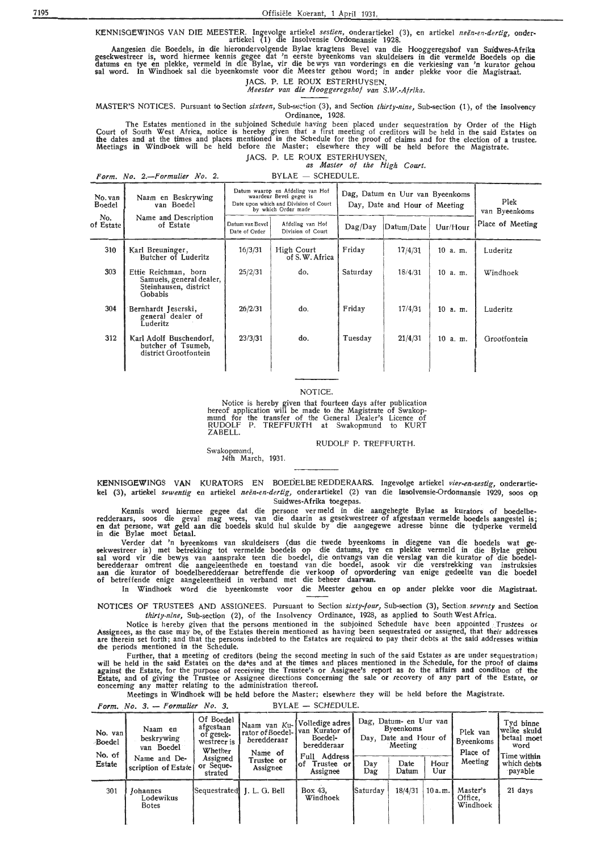KENNISGEWINGS VAN DIE MEESTER. lngevolge artiekel *sestien,* onderartiekel (3), en artiekel *neen-en-dertig,* onderartiekel ( 1) die Insolvensie Ordonnansie 1928.

Aangesien die Boedels, in die hierondervolgende Bylae kragtens Bevel van die Hooggeregshof van Suidwes-Afrika gesekwestreer is, word hiermee kennis gegee dat 'n eerste byeenkoms van skuldeisers in die vermelde Boedels op die datums en tye en plekke, vermeld in die Bylae, vir die be wys van vorderings en die verkiesing van 'n kurator gehou sal word. In Windhoek sal die byeenkomste voor die Meester gehou word; in ander plekke voor die Magistraat.

JACS. P. LE ROUX ESTERHUYSEN, *Meester van die Hooggeregshof van S.W.-Afrika.* 

MASTER'S NOTICES. Pursuant *to Section sixteen*, Sub-section (3), and Section *thirty-nine*, Sub-section (1), of the Insolvency Ordinance, 1928.

The Estates mentioned in the subjoined Schedule having been placed under sequestration by Order of the High Court of South West Africa, notice is hereby given that a first meeting of creditors will be held in the said Estates on<br>the dates and at the times and places mentioned in the Schedule for the proof of claims and for the e Meetings in Windl>oek will be held before the Master; elsewhere they will be held before the Magistrate.

JACS. P. LE ROUX ESTERHUYSEN, *as Master of the High Court.* 

 $Form. No. 2. - Formulier No. 2.$  BYLAE - SCHEDULE.

| No. van<br>Boedel<br>No.<br>of Estate | Naam en Beskrywing<br>van Boedel<br>Name and Description<br>of Estate                | Datum waarop en Afdeling van Hof<br>waardeur Bevel gegee is<br>Date upon which and Division of Court<br>by which Order made<br>Datum van Bevel<br>Afdeling van Hof<br>Division of Court<br>Date of Order |                              | Dag, Datum en Uur van Byeenkoms<br>Day, Date and Hour of Meeting<br>Uur/Hour<br>Datum/Date<br>$\text{Dag}/\text{Day}$ |         |          | Plek<br>van Byeenkoms<br>Place of Meeting |
|---------------------------------------|--------------------------------------------------------------------------------------|----------------------------------------------------------------------------------------------------------------------------------------------------------------------------------------------------------|------------------------------|-----------------------------------------------------------------------------------------------------------------------|---------|----------|-------------------------------------------|
| 310                                   | Karl Breuninger,<br>Butcher of Luderitz                                              | 16/3/31                                                                                                                                                                                                  | High Court<br>of S.W. Africa | Friday                                                                                                                | 17/4/31 | 10 a. m. | Luderitz                                  |
| 303                                   | Ettie Reichman, born<br>Samuels, general dealer,<br>Steinhausen, district<br>Gobabis | 25/2/31                                                                                                                                                                                                  | do.                          | Saturday                                                                                                              | 18/4/31 | 10 a.m.  | Windhoek                                  |
| 304                                   | Bernhardt Jeserski,<br>general dealer of<br>Luderitz                                 | 26/2/31                                                                                                                                                                                                  | do.                          | Friday                                                                                                                | 17/4/31 | 10 a.m.  | Luderitz                                  |
| 312                                   | Karl Adolf Buschendorf,<br>butcher of Tsumeb,<br>district Grootfontein               | 23/3/31                                                                                                                                                                                                  | do.                          | Tuesday                                                                                                               | 21/4/31 | 10 a. m. | Grootfontein                              |

#### NOTICE.

Notice is hereby given that fourteen days after publication<br>hereof application will be made to the Magistrate of Swakopmund for the transfer of the General Dealer's Licence of RUDOLF P. TREFFURTH at Swakopmund to KURT ZABELL.

RUDOLF P. TREFFURTH.

Swakopmund, 14th March, 1931.

KENNISGEWINGS VAN KURATORS EN BOEDELBEREDDERAARS. Ingevolge artiekel vier-en-sestig, onderartiekel (3), artiekel sewentig en artiekel neën-en-dertig, onderartiekel (2) van die Insolvensie-Ordonnansie 1929, soos op Suidwes-Afrika toegepas.

Kennis word hiermee gegee dat die persone ver meld in die aangehegte Bylae as kurators of boedelberedderaars, soos die geval mag wees, van die daarin as-gesekwestreer-of-afgestaan-vermelde-boedels-aangestel-is<br>en dat persone, wat geld aan die boedels skuid hul skuide by die aangegewe adresse binne die tydperke vermeld in die Bylae moet betaal.

Verder dat 'n byeenkoms van .skuldeisers (dus die twede byeenkoms in diegene van die boedels wat gesekwestreer is) met betrekking tot vermelde boedels op die datums, tye en plekke vermeld in die Bylae gehou sal word vir die bewys van aansprake teen die boedel, die ontvangs van die verslag van die kurator of die boedelberedderaar omtrent die aangeleenthede en toestand van die boedel, asook vir die verstrekking van instruksies<br>aan die kurator of boedelberedderaar betreffende die verkoop of opvordering van enige gedeelte van die boedel of betreffende enige aangeleentheid in verband met die beheer daarvan.

In Windhoek word die byeenkomste voor die Meester gehou en op antler plekke voor die Magistraat.

NOTICES OF TRUSTEES AND ASSIGNEES. Pursuant to Section *sixty-four,* Sub-section (3), Section. *seventy* and Section *thirty-nine*, Sub-section (2), of the Insolvency Ordinance, 1928, as applied to South West Africa.

Notice is hereby given that the persons mentioned in the subjoined Schedule have been appointed Trustees or<br>Assignees, as the case may be, of the Estates therein mentioned as having been sequestrated or assigned, that thei the periods mentioned in the Schedule.

Further, that a meeting of creditors (being the second meeting in such of the said Estates as are under sequestration)<br>will be held in the said Estates on the da<sup>4</sup>es and at the times and places mentioned in the Schedule, against the Estate, for the purpose of receiving the Trustee's or Assignee's report as to the affairs and condition of the Estate, and of giving the Trustee or Assignee directions concerning the sale or recovery of any part of the Estate, or concerning any matter relating to the administration thereof.

Meetings in Windhoek will be held before the Master; elsewhere they will be held before the Magistrate.

 $Form. No. 3. - Formulier No. 3.$  BYLAE - SCHEDULE.

| No. van<br>Boedel | Naam en<br>beskrywing<br>van Boedel<br>No. of<br>Name and De-<br>scription of Estate | Of Boedel<br>van Ku-l<br>Naam<br>afgestaan<br>of gesek-<br>beredderaar<br>westreer is<br>Whether<br>Name of |                            | Volledige adres<br>rator of Boedel- van Kurator of<br>Boedel-<br>beredderaar | Dag, Datum- en Uur van<br><b>B</b> veen koms<br>Day, Date and Hour of<br>Meeting |               |             | Plek van<br><b>Byeenkoms</b><br>Place of | Tyd binne<br>welke skuld<br>betaal moet<br>word |
|-------------------|--------------------------------------------------------------------------------------|-------------------------------------------------------------------------------------------------------------|----------------------------|------------------------------------------------------------------------------|----------------------------------------------------------------------------------|---------------|-------------|------------------------------------------|-------------------------------------------------|
| Estate            |                                                                                      | Assigned<br>or Seque-<br>strated                                                                            | Trustee or<br>Assignee     | Address<br>Full<br>Trustee or<br>lof<br>Assignee                             | Day<br>Dag                                                                       | Date<br>Datum | Hour<br>Uur | Meeting                                  | Time with <b>in</b><br>which debts<br>payable   |
| 301               | <b>Johannes</b><br>Lodewikus<br><b>Botes</b>                                         |                                                                                                             | Sequestrated J. L. G. Bell | Box 43.<br>Windhoek                                                          | Saturday                                                                         | 18/4/31       | 10a.m.      | Master's<br>Office.<br>Windhoek          | 21 days                                         |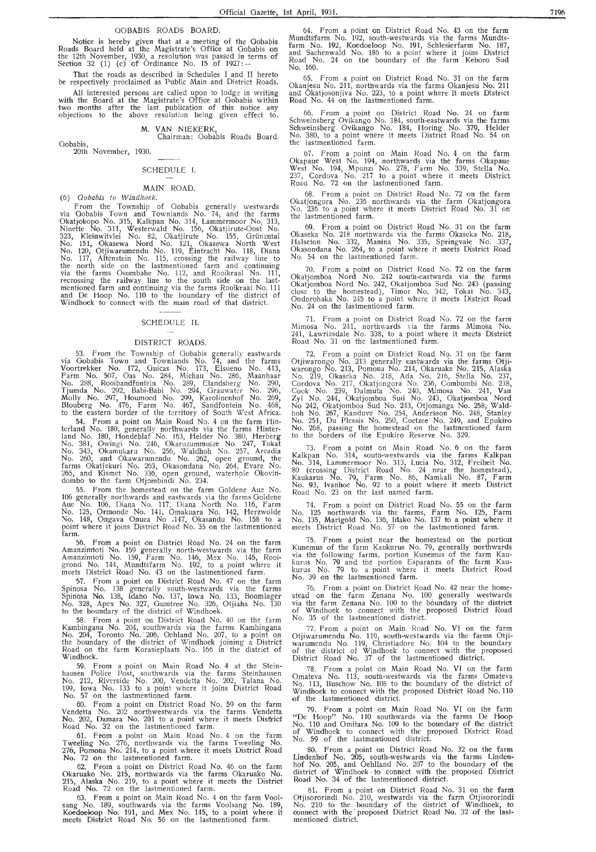#### GOBABIS ROADS BOARD.

Notice is hereby given that at a meeting of the Oobabis Roads Board held at the Magistrate's Office at Gobabis on the 12th November, 1930, a resolution was passed in terms of Section 32 (1) (c) of Ordinance No. 15 of  $1927:$ 

That the roads as described in Schedules I and II hereto be respectively proclaimed as Public Main and District Roads.

All interested persons are called upon to lodge in writing with the Board at the Magistrate's Office at Oobabis within two months after the last publication of this notice any objections to the above resolution being given effect to.

M. VAN NIEKERK,

Chairman: Oobabis Roads Board.

Oobabis, 20th November, 1930.

#### SCHEDULE I.

**MAIN ROAD.**<br>(6) Gobabis to Windhoek. (6) *Oobabis to Windhoek.* 

From the Township of Gobabis generally westwards via Gobabis Town and Townlands No. 74, and the farms Okatjokopo No. 315, Kalkpan No. 314, Lammermoor No. 313, Ninette No. 311, Westerwald No. 156, Okatjirute Oost No. 323, Kleinwitvlei No. 82, Okatjirute No. 155, Grünental No. 151, Okasewa Nord No. 121, Okasewa North West No. 120, Otjiwarumendu No. 119, Eintracht No. 118, Diana No. 117, Altenstein No. 115, crossing the railway line to the north side on the lastmentioned farm and continuing via the farms Osombahe No. 112, and Rooikraal No. 111, recrossing the railway line to the south side on the lastmentioned farm and continuing via the farms Rooikraal No. 111 and De Hoop No. 110 to the boundary of the district of Windhoek to connect with the main road of that district.

#### SCHEDULE II.

#### DISTRICT ROADS.

53. From the Township of Gobabis generally eastwards via Gobabis Town and Townlands No. 74, and the farms Voortrekker No. 172, Guicas No. 173, Elsueno No. 413, Farm No. 507, Oas No. 284, Michau No. 286, Maanhaar No. 288, Rooibandfontein No. 289, Elandsberg No. 290, Tjumda No. 292, Babi-Babi No. 294, Grauwater No. 296,<br>Molly No. 297, Houmoed No. 299, Karolinenhof No. 269, Blouberg No. 476, Farm No. 467, Sandfontein No. 468, to the eastern border of the territory of South West Africa.

. 54. From a point on Main Road No. 4 on the farm Hinterland No. 180, generally northwards via the farms Hinterland No. 180, Hondeblaf No. 163, Helder No. 380, Herberg No. 381, Owingi No. 246, Okaruzummuize No. 247, Tokat No. 343, Okamukaru No. 256, Waldhoh No. 257, Arcadia No. 260, and Okawarumendu No. 262, open ground, the farms Okatjekuri No. 263, Okasondana No. 264, Evare No. 265, and Kismet No. 336, open ground, waterhole Okovindombo to the farm Otjombindi No. 234.

55. From the homestead on the farm Goldene Aue No.<br>106 generally northwards and eastwards via the farms Goldene Aue No. 106, Diana No. 117, Diana North No. 116, Farm No. 125, Ormonde No. 141, Omakuara No. 142, Herzwolde No. 148, Ongava Onuea No .147, Okasandu No. 158 to a<br>point where it joins District Road No. 35 on the lastmentioned .farm<br>.56

From a point on District Road No. 24 on the farm Amanzimtoti No. 159 generally north-westwards via the farm Amanzimtoti No. 159, Farm No. 146, Mex No. 145, Rooigrond No. 144, Mundtsfarm No. 192, to a point where it meets District Road No. 43 on the lastmentioned farm.

57. From a point on District Road No. 47 on the farm Spinosa No. 138 generally south-westwards via the farms 'Spinosa No. 138, Idaho No. 137, Iowa No. 133, Hoomlager No. 328, Apex No. 327, Gumtree No. 326, Otjiaha No. 130 to the boundary of the district of Windhoek.

58. From a point on District Road No. 40 on the farm Kambingana No. 204, southwards via the farms Kambingana No. 204, Toronto No. 206, Oehland No. 207, to a point on<br>the boundary of the district of Windhoek joining a District Road on the farm Korasieplaats No. 166 in the district of Windhoek.

59. From a point on Main Road No. 4 at the Steinhausen Police Post, southwards via the farms Steinhausen No. 212, Riverside No. 200, Vendetta No. 202, Talana No. 199, Iowa No. 133 to a point where it joins District Road No. 57 on the lastmentioned farm.

60. From a point on District Road No. 59 on the farm Vendetta No. 202 northwestwards via the farms Vendetta No. 202, Damara No. 201 to a point where it meets District Road No. 32 on the lastmentioned farm.

61. From a point on Main Road No. 4 on the farm Tweeling No. 276, northwards via the farms Tweeling No, 276, Pomona No. 214, to a point where it meets District Road No. 72 on the lastmentioned farm.

62. From a point on District Road No. 46 on the farm Okaruako No. 215, northwards via the farms Okaruako No. 215, Alaska No. 219, to a point where it meets the District Road No. 72 on the lastmentioned farm.

63. From a point on Main Road No. 4 on the farm Voolsang No. 189, southwards via the farms Voolsang No. 189, Koedoeloop No, 191, and Mex No. 145, to a point where it meets District Road No. 56 on the lastmentioned farm.

64. From a point on District Road No. 43 on the farm Mundtsfarm No. 192, south-westwards via the farms Mundtsfarm No. 192, Koedoeloop No. 191, Schlesierfarm No. 187, and Sachenwald No. 186 to a point where it joins District Road No. 24 on the boundary of the farm Kehoro Sud No. 160.

65. From a point on District Road No. 31 on the farm Okanjesu No. 211, northwards via the farms Okanjesu No. 211 and Okatjosonjiva No. 223, to a point where it meets District Road No. 44 on\_ the lastmentioned farm.

66. From a point on District Road No. 24 on farm Schweinsberg Ovikango No. 184, south-eastwards via the farms Schweinsberg Ovikango No. 184, Horing No. 379, Helder No. 380, to a point where it meets District Road No. 54 on<br>the lastmentioned farm.

67. From a point on Main Road No. 4 on the farm Okapaue West No. 194, northwards via the farms Okapaue West No. 194, Mpunz1 No. 278, Farm No. 339, Stella No. 237, Cordova No. 217 to a point where it meets District Roau . No. 72 on the lastmentioned farm.

68. From a point on District Road No. 72 on the farm Okatjongora No. 236 northwards via the farm Okatjongora No. 236 to a point where it meets District Road No. 31 on<br>the lastmentioned farm.

69. From a point on District Road No. 31 on the farm Okaseka No. 218 northwards via the farms Okaseka No. 218, Halseton No. 332, Manina No. 335, Springvale No. 337**,**<br>Okasondana No. 264, to a point where it meets District Road No. 54 on the lastmentioned farm.

70. From a point on District Road No. 72 on the farm Okatjomboa Nord No. 242 south-eastwards via the farms Okatjomboa Nord No. 242, Okatjomboa Sud No. 243 (passing close to the homestead), Timor No. 342, Tokat No. 343, Ondorohaka No. 245 to a point where it meets District Road No. 24 on the lastmentioned farm.

71. From a point on District Road No. 72 on the farm Mimosa No. 241, northwards via the farms Mimosa No. 241, Lawriesdale No. 338, to a point where it meets District Road No. 31 on the lastmentioned farm.

72. From a point on District Road No. 31 on the farm Otjiwarongo No. 213 generally eastwards via the farms Otjiwarongo No. 213, Pomona No. 214, Okaruake No. 215, Alaska No. 219, Okaseka No. 218, Ada No. 216, Stella No. 237, Cordova No. 217, Okatjongora No. 236, Combumbi No. 238, Cook No. 239, Dalmuta No. 240, Mimosa No. 241, Van Zyl No. 244, Okatjomboa Sud No. 243, Okatjomboa Nord No 242, Okatjomboa Sud No. 243, Otjomanga No. 258, Waldhoh No. 267, Kanduve No. 254, Andersson No. 248, Stanley No. 251, Du Plessis No. 250, Coetzee No. 249, and Epukiro No. 268, passing the homestead on the lastmentioned farm to the borders of the Epukiro Reserve No. 329.

73. From a point on Main Road No. 6 on the farm Kalkpan No. 314, south-westwards via the farms Kalkpan No. 314, Lammermoor No. 313, Lucia No. 312, Freiheit No. 80 (crossing District Road No. 24 near the homestead), Kaukarus No. 79, Farm No. 86, Namkali No. 87, Farm No. 93, Ivanhoe No. 92 to a point where it meets District Road No. 23 on the last named farm.

74. From a point on District Road No. 55 on the farm No. 125 northwards via the farms, farm No. 125, Farm No. 135, Marigold No. 136, ldako No. 137 to a point where it meets District Road No. 57 on the lastmentioned farm.

 $75.$  From a point near the homestead on the portion Kunemus of the farm Kaukurus No. 79, generally northwards via the following farms, portion Kunemus of the farm Kaukurus No. 79 and the portion Esparanza of the farm Kaukurus No. 79 to a point where it meets District Road No. 39 on the lastmentioned farm.

76. From a point on District Road No. 42 near the homestead on the farm Zenana No. 100 generally westwards via the farm Zenana No. 100 to the boundary of the district of Windhoek to connect with the proposed District Road No. 35 of the lastmentioned district.

77. From a point on Main Road No. VI on the farm Otjiwarumendu No. 110, south-westwards via the farms Otjiwarumendu No. 119, Christiadore No. 104 to the boundary of the district of Windhoek to connect with the proposed District Road No. 37 of the lastmentioned district

78. From a point on Main Road No. VI on the farm Omateva No. 113, south-westwards via the farms Omateva No. 113, Buschow No. 108 to the boundary of the district of Windhoek to connect with the proposed District Road No. 110 of the lastmentioned district.

79. From a point on Main Road No. VI on the farm "De Hoop" No. 110 southwards via the farms De Hoop No. 110 and Omitara No. 109 to the boundary of the district of Windhoek to connect with the proposed District Road No. 59 of the lastmentioned district.

80. From a point on District Road No. 32 on the farm Lindenhof No. 205, south-westwards via the farms Linden-hof No. 205, and Oehlland No. 207 to the boundary of the district of Windhoek • to connect with the proposed District Road No. 34 of the lastmentioned district.

81. From a point on District Road No. 31 on the farm Otjisomrindi No. 210, westwards via the farm Otjisororindi No. 210 to the boundary of the district of Windhoek, to connect with the· proposed District Road No. 32 of the lastmentioned district.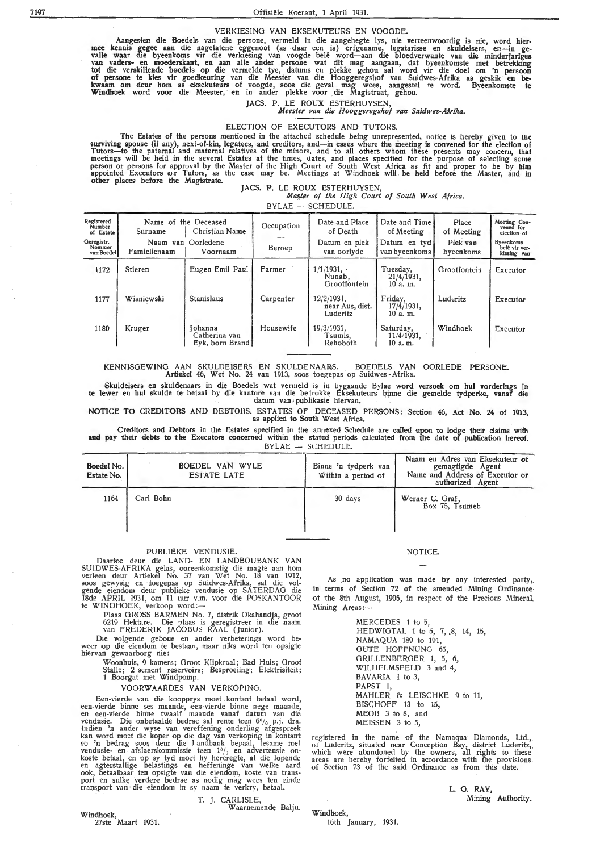## 7197 Offisiële Koerant, 1 April 1931.

#### VERKIESINO VAN EKSEKUTEURS EN VOOODE.

Aangesien die Boedels van die persone, vermeld in die aangehegte lys, nie verteenwoordig is nie, word hier- mee kennis gegee aan die nagelatene eggenoot (as daar een is) erfgename, !egatarisse en skuldeisers, en-in gevalle waar die byeenkoms vir die verkiesing van voogde belê word—aan die bloedverwante van die minderjariges<br>van vaders- en moederskant, en aan alle ander persone wat dit mag aangaan, dat byeenkomste met betrekking tot die verskillende boedels op die vermelde tye, datums en plekke gehou sal word vir die doel om 'n persoon of persone te kies vir goedkeuring van die Meester van die Hooggeregshof van Suidwes-Afrika as geskik en bekwaam om deur hom as eksekuteurs of voogde, soos die geval mag wees, aangestel te word. Byeenkomste te Windhoek word voor die Meester, ·en in ander plekke voor die Magistraat, gehou.

JACS. P. LE ROUX ESTERHUYSEN,

*Meester van die Hooggeregshof van Suidwes-Atrika.* 

#### ELECTION OF EXECUTORS AND TUTORS.

The Estates of the persons mentioned in the attached schedule being unrepresented, notice is hereby given to the surviving spouse (if any), next-of-kin; legatees, and creditors, and-in cases where the meeting is convened for the election of Tutors-to the paternal and maternal relatives of the minors, and to all others whom these presents may concern, that meetings will be held in the several Estates at the times, dates, and places specified for the purpose of selecting some<br>person or persons for approval by the Master of the High Court of South West Africa as fit and proper appointed Executors o.r Tutors, as the case may be. Meetings at Windhoek will be held before the Master, and in other places before the Magistrate.

#### JACS. P. LE ROUX ESTERHUYSEN, *M~ter of the High Court of South West Africa.*

 $BYLAE$  - SCHEDULE.

| Registered<br>Number<br>of Estate  | Surname                  | Name of the Deceased<br>Christian Name      | Occupation    | Date and Place<br>of Death                | Date and Time<br>of Meeting          | Place<br>of Meeting   | Meeting Con-<br>vened for<br>election of  |
|------------------------------------|--------------------------|---------------------------------------------|---------------|-------------------------------------------|--------------------------------------|-----------------------|-------------------------------------------|
| Geregistr.<br>Nommer<br>van Boedel | Naam van<br>Famielienaam | Oorledene<br>Voornaam                       | <b>Beroep</b> | Datum en plek<br>van oorlyde              | Datum en tyd<br>van byeenkoms        | Plek van<br>byeenkoms | Byeenkoms<br>belê vir ver-<br>kiesing van |
| 1172                               | Stieren                  | Eugen Emil Paul                             | Farmer        | 1/1/1931.<br>Nunab,<br>Grootfontein       | Tuesday,<br>$21/4/1931$ ,<br>10a. m. | Grootfontein          | Executor                                  |
| 1177                               | Wisniewski               | <b>Stanislaus</b>                           | Carpenter     | 12/2/1931,<br>near Aus, dist.<br>Luderitz | Friday,<br>17/4/1931,<br>10a. m.     | Luderitz              | Executor                                  |
| 1180                               | Kruger                   | Johanna<br>Catherina van<br>Eyk, born Brand | Housewife     | 19/3/1931.<br>Tsumis,<br>Rehoboth         | Saturday,<br>11/4/1931,<br>10 a.m.   | Windhoek              | Executor                                  |

#### KENNISOEWING AAN SKULDEISERS EN SKULDE NAARJS. BOEDELS VAN OORLEDE PERSONE. Artiekel 46, Wet No. 24 van 1913, soos toegepas op Suidwes -Afrika.

Skuldeisers en skuldenaars in die Boedels wat vermeld is in bygaande Bylae word versoek om hul vorderings in te lewer en hul skulde te betaal by die kantore van die betrokke Eksekuteurs binne die gemelde tydperke, vanaf die<br>datum van publikasie hiervan.

NOTICE TO CREDITORS AND DEBTORS. ESTATES OF DECEASED PERSONS: Section 46, Act No. 24 of 1913, as applied to South West Africa.

Creditors and Debtors in the Estates specified in the annexed Schedule are called upon to lodge their claims witl, and pay their debts to the Executors concerned within the stated periods calculated from the date of publication hereof. BYLAE - SCHEDULE.

| Boedel No.<br>Estate No. | BOEDEL VAN WYLE<br><b>ESTATE LATE</b> | Binne 'n tydperk van<br>Within a period of | Naam en Adres van Eksekuteur of<br>gemagtigde Agent<br>Name and Address of Executor or<br>authorized Agent |
|--------------------------|---------------------------------------|--------------------------------------------|------------------------------------------------------------------------------------------------------------|
| 1164                     | Carl Bohn                             | 30 days                                    | Werner C. Graf,<br>Box 75. Tsumeb                                                                          |

#### PUBLJEKE VENDUSIE.

Daarfoe deur die LAND- EN LANDBOUBANK VAN SUIDWES-AFRIKA gelas, ooreenkomstig die magte aan horn verleen deur Artiekel No. 37 van Wet No. 18 van 1912,<br>soos gewysig en toegepas op Suidwes-Afrika, sal die volgende eiendom deur publieke vendusie op SATERDAG die 18de APRIL 1931, om 11 uur v.m. voor die POSKANTOOR te WINDHOEK, verkoop word:-

Plaas GROSS BARMEN No. 7, distrik Okahandja, groot 6219 Hektare. Die plaas is geregistreer in die naam van FREDERIK JACOBUS RAAL (Junior).

Die volgende geboue en ander verbeterings word be-<br>weer op die eiendom te bestaan, maar niks word ten opsigte hiervan gewaarborg nie:

Woonhuis, 9 kamers; Groot Klipkraal; Bad Huis; Groot Stalle; 2 sement reservoirs; Besproeiing; Elektrisiteit; 1 Boorgat met Windpomp.

VOORWAARDES VAN VERKOPING.

Een-vierde van die koopprys moet kontant betaal word, een-vierde binne ses maande, een-vierde binne nege maande, en een-vierde binhe twaalf maande vanaf datum van die vendusie. Die onbetaalde bedrae sal rente teen 6% p.j. dra.<br>Indien 'n ander wyse van vereffening onderling afgespreek kan word moet die koper op die dag van verkoping in kontant<br>so 'n bedrag soos deur die Landbank bepaal, tesame met vendusie- en afslaerskommissie teen  $1\frac{v}{a}$  en advertensie on-<br>koste betaal, en op sy tyd moet hy hereregte, al die lopende<br>en agterstallige belastings en heffeninge van welke aard ook, betaalbaar ten opsigte van die eiendom, koste van transport en sulke verdere bedrae as nodig mag wees ten einde transport van die eiendom in sy naam te verkry, betaal.

### NOTICE.

As no application was made by any interested party,, in terms of Section 72 of the amended Mining Ordinance ot the 8th August, 1905, in respect of the Precious Mineral. Mining Areas:-

> MERCEDES 1 to 5, HEDWIGTAL 1 to 5, 7, 8, 14, 15, NAMAQUA 189 to 191, GUTE HOFFNUNG 65, GRILLENBERGER 1, 5, 6, WILHELMSFELD 3 and 4, BAVARIA 1 to 3, PAPST 1, MAHLER & LEISCHKE 9 to 11, BISCHOFF 13 to 15, MEOB 3 to 8, and MEISSEN 3 to 5,

registered in the name of the Namaqua Diamonds, Ltd., of Luderitz, situated near Conception Bay, district Luderitz, which were abandoned by the owners, all rights to these areas are hereby forfeited in accordance with the

**L. G. RAY,** Mining Authority.

Windhoek, 27ste Maart 1931. T. J. CARLISLE, Waarnemende Balju.

16th January, 1931.

Windhoek,